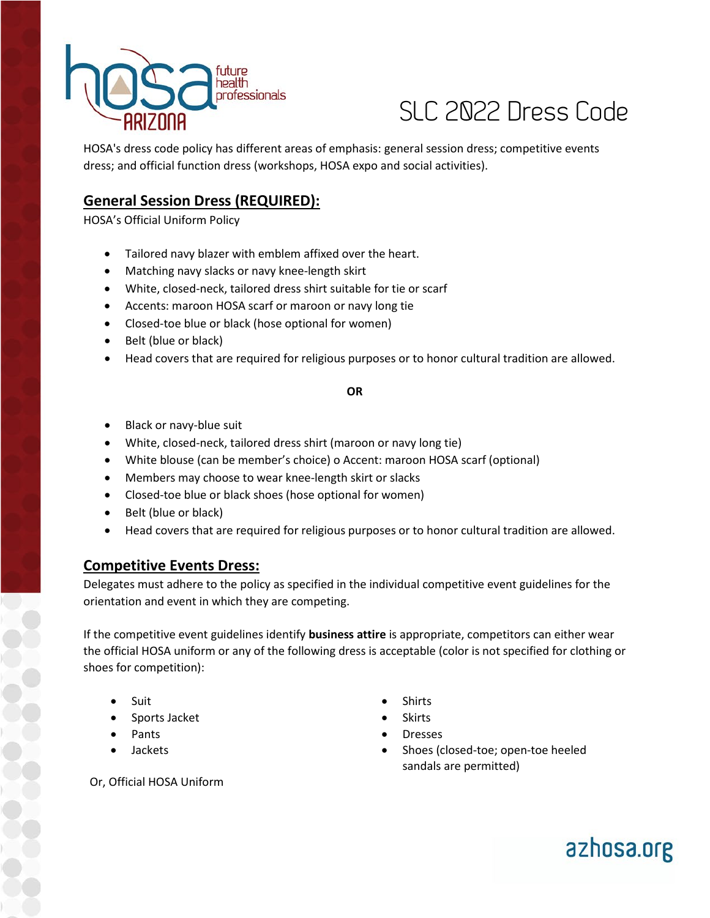

# SLC 2022 Dress Code

HOSA's dress code policy has different areas of emphasis: general session dress; competitive events dress; and official function dress (workshops, HOSA expo and social activities).

## **General Session Dress (REQUIRED):**

HOSA's Official Uniform Policy

- Tailored navy blazer with emblem affixed over the heart.
- Matching navy slacks or navy knee-length skirt
- White, closed-neck, tailored dress shirt suitable for tie or scarf
- Accents: maroon HOSA scarf or maroon or navy long tie
- Closed-toe blue or black (hose optional for women)
- Belt (blue or black)
- Head covers that are required for religious purposes or to honor cultural tradition are allowed.

#### **OR**

- Black or navy-blue suit
- White, closed-neck, tailored dress shirt (maroon or navy long tie)
- White blouse (can be member's choice) o Accent: maroon HOSA scarf (optional)
- Members may choose to wear knee-length skirt or slacks
- Closed-toe blue or black shoes (hose optional for women)
- Belt (blue or black)
- Head covers that are required for religious purposes or to honor cultural tradition are allowed.

### **Competitive Events Dress:**

Delegates must adhere to the policy as specified in the individual competitive event guidelines for the orientation and event in which they are competing.

If the competitive event guidelines identify **business attire** is appropriate, competitors can either wear the official HOSA uniform or any of the following dress is acceptable (color is not specified for clothing or shoes for competition):

- Suit
- Sports Jacket
- Pants
- Jackets
- Shirts
- Skirts
- Dresses
- Shoes (closed-toe; open-toe heeled sandals are permitted)

Or, Official HOSA Uniform

azhosa.org